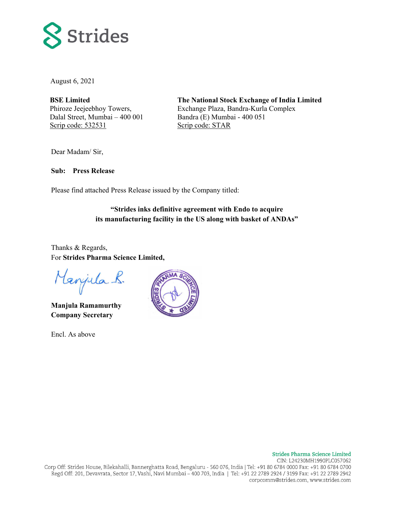

August 6, 2021

**BSE Limited**  Phiroze Jeejeebhoy Towers, Dalal Street, Mumbai – 400 001 Scrip code: 532531

**The National Stock Exchange of India Limited**  Exchange Plaza, Bandra-Kurla Complex Bandra (E) Mumbai - 400 051 Scrip code: STAR

Dear Madam/ Sir,

**Sub: Press Release** 

Please find attached Press Release issued by the Company titled:

# **"Strides inks definitive agreement with Endo to acquire its manufacturing facility in the US along with basket of ANDAs"**

Thanks & Regards, For **Strides Pharma Science Limited,** 

Manjula R.

**Manjula Ramamurthy Company Secretary** 

Encl. As above

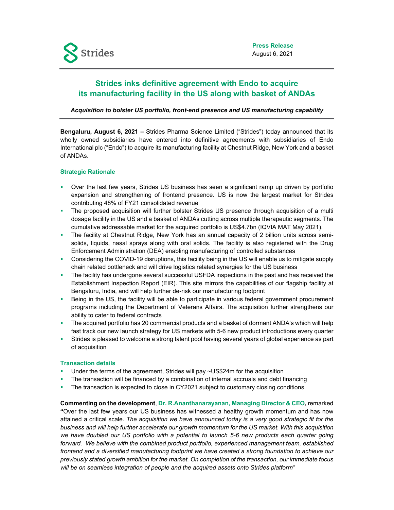# **Strides inks definitive agreement with Endo to acquire its manufacturing facility in the US along with basket of ANDAs**

## *Acquisition to bolster US portfolio, front-end presence and US manufacturing capability*

**Bengaluru, August 6, 2021 –** Strides Pharma Science Limited ("Strides") today announced that its wholly owned subsidiaries have entered into definitive agreements with subsidiaries of Endo International plc ("Endo") to acquire its manufacturing facility at Chestnut Ridge, New York and a basket of ANDAs.

#### **Strategic Rationale**

- Over the last few years, Strides US business has seen a significant ramp up driven by portfolio expansion and strengthening of frontend presence. US is now the largest market for Strides contributing 48% of FY21 consolidated revenue
- The proposed acquisition will further bolster Strides US presence through acquisition of a multi dosage facility in the US and a basket of ANDAs cutting across multiple therapeutic segments. The cumulative addressable market for the acquired portfolio is US\$4.7bn (IQVIA MAT May 2021).
- The facility at Chestnut Ridge, New York has an annual capacity of 2 billion units across semisolids, liquids, nasal sprays along with oral solids. The facility is also registered with the Drug Enforcement Administration (DEA) enabling manufacturing of controlled substances
- Considering the COVID-19 disruptions, this facility being in the US will enable us to mitigate supply chain related bottleneck and will drive logistics related synergies for the US business
- The facility has undergone several successful USFDA inspections in the past and has received the Establishment Inspection Report (EIR). This site mirrors the capabilities of our flagship facility at Bengaluru, India, and will help further de-risk our manufacturing footprint
- Being in the US, the facility will be able to participate in various federal government procurement programs including the Department of Veterans Affairs. The acquisition further strengthens our ability to cater to federal contracts
- The acquired portfolio has 20 commercial products and a basket of dormant ANDA's which will help fast track our new launch strategy for US markets with 5-6 new product introductions every quarter
- Strides is pleased to welcome a strong talent pool having several years of global experience as part of acquisition

#### **Transaction details**

- Under the terms of the agreement, Strides will pay ~US\$24m for the acquisition
- The transaction will be financed by a combination of internal accruals and debt financing
- The transaction is expected to close in CY2021 subject to customary closing conditions

**Commenting on the development**, **Dr. R.Ananthanarayanan, Managing Director & CEO,** remarked **"**Over the last few years our US business has witnessed a healthy growth momentum and has now attained a critical scale. *The acquisition we have announced today is a very good strategic fit for the business and will help further accelerate our growth momentum for the US market. With this acquisition*  we have doubled our US portfolio with a potential to launch 5-6 new products each quarter going forward. We believe with the combined product portfolio, experienced management team, established *frontend and a diversified manufacturing footprint we have created a strong foundation to achieve our previously stated growth ambition for the market. On completion of the transaction, our immediate focus will be on seamless integration of people and the acquired assets onto Strides platform"*